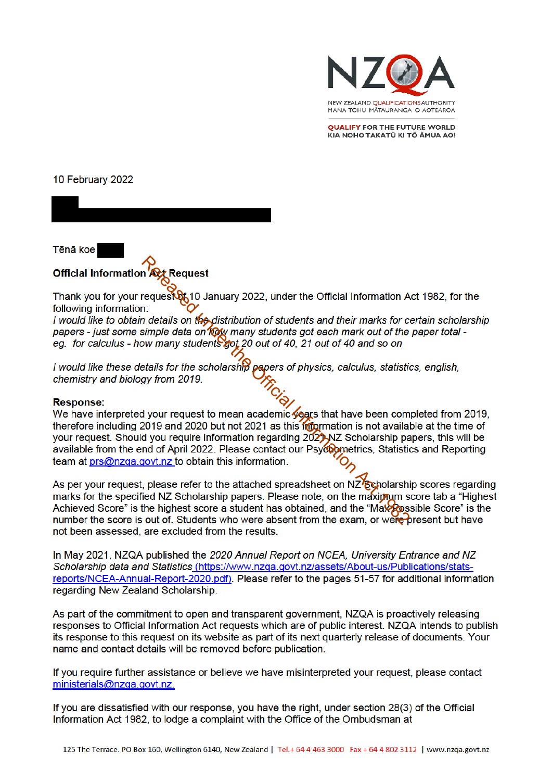

**OUALIFY FOR THE FUTURE WORLD** KIA NOHO TAKATŪ KI TŌ ĀMUA AO!

10 February 2022

Tēnā koe

## **Response:**

**Request**<br>
Request<br>
Request Request<br>
Request and January 2022, under the Official Information A<br>
in:<br>
or details on *flow many students got each mark out of the*<br>
simple data on *flow many students got each mark out of th* 

not been assessed, are excluded from the results.

In May 2021, NZQA published the 2020 Annual Report on NCEA. University Entrance and NZ Scholarship data and Statistics (https://www.nzqa.govt.nz/assets/About-us/Publications/statsreports/NCEA-Annual-Report-2020.pdf). Please refer to the pages 51-57 for additional information regarding New Zealand Scholarship.

As part of the commitment to open and transparent government, NZQA is proactively releasing responses to Official Information Act requests which are of public interest. NZQA intends to publish its response to this request on its website as part of its next quarterly release of documents. Your name and contact details will be removed before publication.

If you require further assistance or believe we have misinterpreted your request, please contact ministerials@nzqa.govt.nz.

If you are dissatisfied with our response, you have the right, under section 28(3) of the Official Information Act 1982, to lodge a complaint with the Office of the Ombudsman at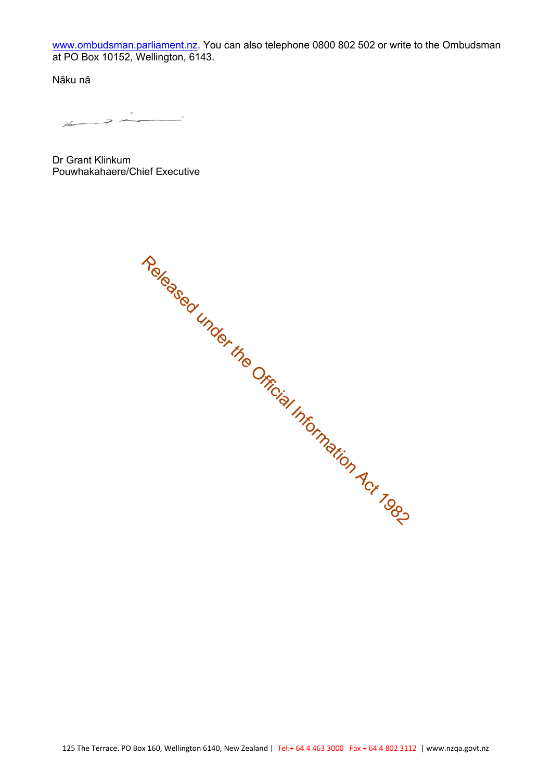www.ombudsman.parliament.nz. You can also telephone 0800 802 502 or write to the Ombudsman at PO Box 10152, Wellington, 6143.

Nāku nā

 $\leftarrow$ 

Dr Grant Klinkum Pouwhakahaere/Chief Executive

Released under the Official Information Act 1982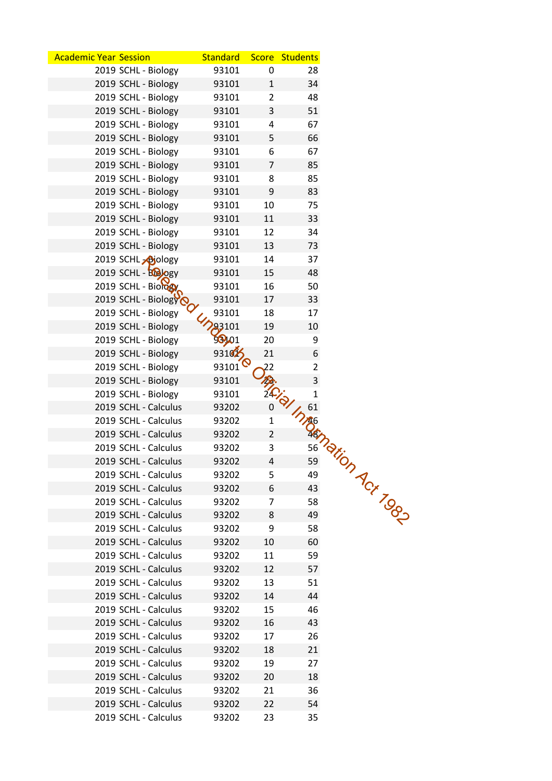| <b>Academic Year Session</b>                | <b>Standard</b>    |                | Score Students         |
|---------------------------------------------|--------------------|----------------|------------------------|
| 2019 SCHL - Biology                         | 93101              | 0              | 28                     |
| 2019 SCHL - Biology                         | 93101              | $\mathbf{1}$   | 34                     |
| 2019 SCHL - Biology                         | 93101              | $\overline{2}$ | 48                     |
| 2019 SCHL - Biology                         | 93101              | 3              | 51                     |
| 2019 SCHL - Biology                         | 93101              | 4              | 67                     |
| 2019 SCHL - Biology                         | 93101              | 5              | 66                     |
| 2019 SCHL - Biology                         | 93101              | 6              | 67                     |
| 2019 SCHL - Biology                         | 93101              | $\overline{7}$ | 85                     |
| 2019 SCHL - Biology                         | 93101              | 8              | 85                     |
| 2019 SCHL - Biology                         | 93101              | 9              | 83                     |
| 2019 SCHL - Biology                         | 93101              | 10             | 75                     |
| 2019 SCHL - Biology                         | 93101              | 11             | 33                     |
| 2019 SCHL - Biology                         | 93101              | 12             | 34                     |
| 2019 SCHL - Biology                         |                    |                |                        |
|                                             | 93101              | 13             | 73                     |
| 2019 SCHL Ajology                           | 93101              | 14<br>15       | 37<br>48               |
| 2019 SCHL - BOORY                           | 93101<br>93101     | 16             |                        |
| 2019 SCHL - Biology                         |                    |                | 50                     |
| 2019 SCHL - Biology $\overline{\mathsf{S}}$ | 93101              | 17             | 33                     |
| 2019 SCHL - Biology                         | 93101              | 18             | 17                     |
| 2019 SCHL - Biology                         | <b>93101</b>       | 19             | 10                     |
| 2019 SCHL - Biology                         | 98101              | 20             | 9                      |
| 2019 SCHL - Biology                         | 931 $\frac{3}{2}$  | 21             | 6                      |
| 2019 SCHL - Biology                         | 93101 <sup>6</sup> | 22             | $\overline{2}$         |
| 2019 SCHL - Biology                         | 93101              |                | 3                      |
| 2019 SCHL - Biology                         | 93101              |                | $\mathbf 1$            |
| 2019 SCHL - Calculus                        | 93202              | 0              |                        |
| 2019 SCHL - Calculus                        | 93202              | $\mathbf{1}$   |                        |
| 2019 SCHL - Calculus                        | 93202              | $\overline{2}$ |                        |
| 2019 SCHL - Calculus                        | 93202              | 3              |                        |
| 2019 SCHL - Calculus                        | 93202              | 4              |                        |
| 2019 SCHL - Calculus                        | 93202              | 5              |                        |
| 2019 SCHL - Calculus                        | 93202              | 6              |                        |
| 2019 SCHL - Calculus                        | 93202              | 7              |                        |
| 2019 SCHL - Calculus                        | 93202              | 8              |                        |
| 2019 SCHL - Calculus                        | 93202              | 9              | In Ash Dation Act Tool |
| 2019 SCHL - Calculus                        | 93202              | 10             | 60                     |
| 2019 SCHL - Calculus                        | 93202              | 11             | 59                     |
| 2019 SCHL - Calculus                        | 93202              | 12             | 57                     |
| 2019 SCHL - Calculus                        | 93202              | 13             | 51                     |
| 2019 SCHL - Calculus                        | 93202              | 14             | 44                     |
| 2019 SCHL - Calculus                        | 93202              | 15             | 46                     |
| 2019 SCHL - Calculus                        | 93202              | 16             | 43                     |
| 2019 SCHL - Calculus                        | 93202              | 17             | 26                     |
| 2019 SCHL - Calculus                        | 93202              | 18             | 21                     |
| 2019 SCHL - Calculus                        | 93202              | 19             | 27                     |
| 2019 SCHL - Calculus                        | 93202              | 20             | 18                     |
| 2019 SCHL - Calculus                        | 93202              | 21             | 36                     |
| 2019 SCHL - Calculus                        | 93202              | 22             | 54                     |
| 2019 SCHL - Calculus                        | 93202              | 23             | 35                     |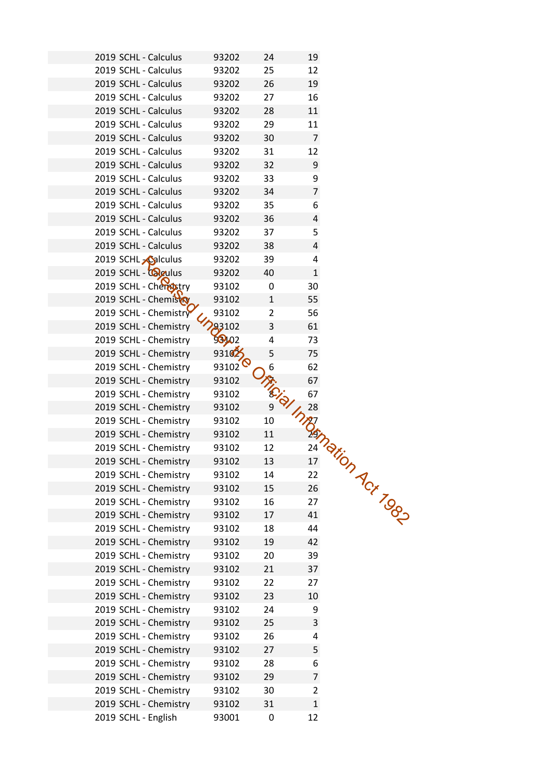| 2019 SCHL - Calculus                           | 93202              | 24             | 19                 |                          |  |
|------------------------------------------------|--------------------|----------------|--------------------|--------------------------|--|
| 2019 SCHL - Calculus                           | 93202              | 25             | 12                 |                          |  |
| 2019 SCHL - Calculus                           | 93202              | 26             | 19                 |                          |  |
| 2019 SCHL - Calculus                           | 93202              | 27             | 16                 |                          |  |
| 2019 SCHL - Calculus                           | 93202              | 28             | 11                 |                          |  |
| 2019 SCHL - Calculus                           | 93202              | 29             | 11                 |                          |  |
| 2019 SCHL - Calculus                           | 93202              | 30             | $\overline{7}$     |                          |  |
| 2019 SCHL - Calculus                           | 93202              | 31             | 12                 |                          |  |
| 2019 SCHL - Calculus                           | 93202              | 32             | 9                  |                          |  |
| 2019 SCHL - Calculus                           | 93202              | 33             | 9                  |                          |  |
| 2019 SCHL - Calculus                           | 93202              | 34             | $\overline{7}$     |                          |  |
| 2019 SCHL - Calculus                           | 93202              | 35             | 6                  |                          |  |
| 2019 SCHL - Calculus                           | 93202              | 36             | 4                  |                          |  |
| 2019 SCHL - Calculus                           | 93202              | 37             | 5                  |                          |  |
| 2019 SCHL - Calculus                           | 93202              |                | 4                  |                          |  |
| 2019 SCHL <b>Calculus</b>                      |                    | 38             |                    |                          |  |
| 2019 SCHL - <b>Quadity</b>                     | 93202<br>93202     | 39<br>40       | 4<br>$\mathbf{1}$  |                          |  |
| 2019 SCHL - Cherristry                         |                    |                |                    |                          |  |
|                                                | 93102<br>93102     | 0              | 30                 |                          |  |
| 2019 SCHL - Chemisto                           |                    | $\mathbf{1}$   | 55                 |                          |  |
| 2019 SCHL - Chemistry                          | 93102              | $\overline{2}$ | 56                 |                          |  |
| 2019 SCHL - Chemistry                          | 93102              | 3              | 61                 |                          |  |
| 2019 SCHL - Chemistry                          | 98902              | 4              | 73                 |                          |  |
| 2019 SCHL - Chemistry                          | 9310 $2$           | 5              | 75                 |                          |  |
| 2019 SCHL - Chemistry                          | 93102 <sup>6</sup> | 6              | 62                 |                          |  |
| 2019 SCHL - Chemistry                          | 93102              |                |                    | Aristol Magnetic Matrice |  |
| 2019 SCHL - Chemistry                          | 93102              |                |                    |                          |  |
| 2019 SCHL - Chemistry                          | 93102              |                |                    |                          |  |
| 2019 SCHL - Chemistry                          | 93102              |                |                    |                          |  |
| 2019 SCHL - Chemistry<br>2019 SCHL - Chemistry | 93102<br>93102     |                |                    |                          |  |
| 2019 SCHL - Chemistry                          |                    |                |                    |                          |  |
| 2019 SCHL - Chemistry                          | 93102              |                |                    |                          |  |
|                                                | 93102              |                |                    |                          |  |
| 2019 SCHL - Chemistry<br>2019 SCHL - Chemistry | 93102              |                |                    |                          |  |
|                                                | 93102<br>93102     |                |                    |                          |  |
| 2019 SCHL - Chemistry                          |                    |                |                    |                          |  |
| 2019 SCHL - Chemistry                          | 93102              | 19             | 42                 |                          |  |
| 2019 SCHL - Chemistry<br>2019 SCHL - Chemistry | 93102              |                |                    |                          |  |
|                                                | 93102              | 20             | 39                 |                          |  |
| 2019 SCHL - Chemistry                          | 93102              | 21             | 37                 |                          |  |
| 2019 SCHL - Chemistry                          | 93102              | 22             | 27                 |                          |  |
| 2019 SCHL - Chemistry                          | 93102              | 23             | 10                 |                          |  |
| 2019 SCHL - Chemistry                          | 93102              | 24             | 9                  |                          |  |
| 2019 SCHL - Chemistry                          | 93102              | 25             | 3                  |                          |  |
| 2019 SCHL - Chemistry                          | 93102              | 26             | 4                  |                          |  |
| 2019 SCHL - Chemistry                          | 93102              | 27             | 5                  |                          |  |
|                                                |                    | 28             | 6                  |                          |  |
| 2019 SCHL - Chemistry                          | 93102              |                |                    |                          |  |
| 2019 SCHL - Chemistry                          | 93102              | 29             | 7                  |                          |  |
| 2019 SCHL - Chemistry                          | 93102              | 30             | $\overline{2}$     |                          |  |
| 2019 SCHL - Chemistry<br>2019 SCHL - English   | 93102<br>93001     | 31<br>0        | $\mathbf{1}$<br>12 |                          |  |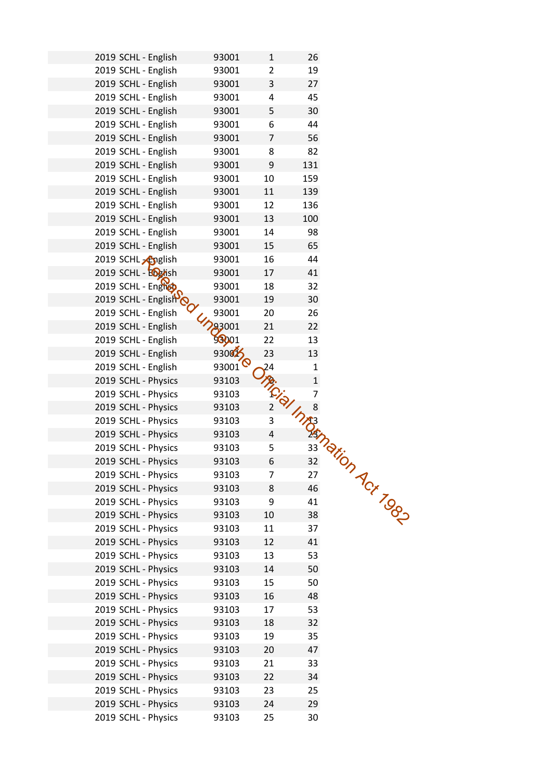| 2019 SCHL - English<br>93001<br>26<br>1<br>2019 SCHL - English<br>93001<br>19<br>$\overline{2}$<br>2019 SCHL - English<br>3<br>27<br>93001<br>2019 SCHL - English<br>45<br>93001<br>4<br>2019 SCHL - English<br>5<br>30<br>93001<br>2019 SCHL - English<br>44<br>93001<br>6<br>2019 SCHL - English<br>$\overline{7}$<br>56<br>93001<br>2019 SCHL - English<br>82<br>93001<br>8<br>2019 SCHL - English<br>93001<br>9<br>131<br>2019 SCHL - English<br>10<br>159<br>93001<br>2019 SCHL - English<br>93001<br>11<br>139<br>136<br>2019 SCHL - English<br>93001<br>12<br>2019 SCHL - English<br>13<br>100<br>93001<br>14<br>98<br>2019 SCHL - English<br>93001<br>2019 SCHL - English<br>15<br>65<br>93001<br>2019 SCHL <sub>2</sub> Apglish<br>93001<br>16<br>44<br>2019 SCHL - English<br>17<br>41<br>93001 |  |
|-----------------------------------------------------------------------------------------------------------------------------------------------------------------------------------------------------------------------------------------------------------------------------------------------------------------------------------------------------------------------------------------------------------------------------------------------------------------------------------------------------------------------------------------------------------------------------------------------------------------------------------------------------------------------------------------------------------------------------------------------------------------------------------------------------------|--|
|                                                                                                                                                                                                                                                                                                                                                                                                                                                                                                                                                                                                                                                                                                                                                                                                           |  |
|                                                                                                                                                                                                                                                                                                                                                                                                                                                                                                                                                                                                                                                                                                                                                                                                           |  |
|                                                                                                                                                                                                                                                                                                                                                                                                                                                                                                                                                                                                                                                                                                                                                                                                           |  |
|                                                                                                                                                                                                                                                                                                                                                                                                                                                                                                                                                                                                                                                                                                                                                                                                           |  |
|                                                                                                                                                                                                                                                                                                                                                                                                                                                                                                                                                                                                                                                                                                                                                                                                           |  |
|                                                                                                                                                                                                                                                                                                                                                                                                                                                                                                                                                                                                                                                                                                                                                                                                           |  |
|                                                                                                                                                                                                                                                                                                                                                                                                                                                                                                                                                                                                                                                                                                                                                                                                           |  |
|                                                                                                                                                                                                                                                                                                                                                                                                                                                                                                                                                                                                                                                                                                                                                                                                           |  |
|                                                                                                                                                                                                                                                                                                                                                                                                                                                                                                                                                                                                                                                                                                                                                                                                           |  |
|                                                                                                                                                                                                                                                                                                                                                                                                                                                                                                                                                                                                                                                                                                                                                                                                           |  |
|                                                                                                                                                                                                                                                                                                                                                                                                                                                                                                                                                                                                                                                                                                                                                                                                           |  |
|                                                                                                                                                                                                                                                                                                                                                                                                                                                                                                                                                                                                                                                                                                                                                                                                           |  |
|                                                                                                                                                                                                                                                                                                                                                                                                                                                                                                                                                                                                                                                                                                                                                                                                           |  |
|                                                                                                                                                                                                                                                                                                                                                                                                                                                                                                                                                                                                                                                                                                                                                                                                           |  |
|                                                                                                                                                                                                                                                                                                                                                                                                                                                                                                                                                                                                                                                                                                                                                                                                           |  |
|                                                                                                                                                                                                                                                                                                                                                                                                                                                                                                                                                                                                                                                                                                                                                                                                           |  |
|                                                                                                                                                                                                                                                                                                                                                                                                                                                                                                                                                                                                                                                                                                                                                                                                           |  |
| 2019 SCHL - Englist<br>93001<br>18<br>32                                                                                                                                                                                                                                                                                                                                                                                                                                                                                                                                                                                                                                                                                                                                                                  |  |
| 2019 SCHL - Englisho<br>93001<br>19<br>30                                                                                                                                                                                                                                                                                                                                                                                                                                                                                                                                                                                                                                                                                                                                                                 |  |
| 93001<br>2019 SCHL - English<br>26<br>20                                                                                                                                                                                                                                                                                                                                                                                                                                                                                                                                                                                                                                                                                                                                                                  |  |
| 293001<br>21<br>22<br>2019 SCHL - English                                                                                                                                                                                                                                                                                                                                                                                                                                                                                                                                                                                                                                                                                                                                                                 |  |
| 98001<br>13<br>2019 SCHL - English<br>22                                                                                                                                                                                                                                                                                                                                                                                                                                                                                                                                                                                                                                                                                                                                                                  |  |
| 930025<br>23<br>2019 SCHL - English<br>13                                                                                                                                                                                                                                                                                                                                                                                                                                                                                                                                                                                                                                                                                                                                                                 |  |
| 93001 <sup>Q</sup><br>2019 SCHL - English<br>$\overline{24}$<br>$\mathbf{1}$                                                                                                                                                                                                                                                                                                                                                                                                                                                                                                                                                                                                                                                                                                                              |  |
| 2019 SCHL - Physics<br>93103                                                                                                                                                                                                                                                                                                                                                                                                                                                                                                                                                                                                                                                                                                                                                                              |  |
| JA (CI) INTERNATION ACT TOOS<br>2019 SCHL - Physics<br>93103                                                                                                                                                                                                                                                                                                                                                                                                                                                                                                                                                                                                                                                                                                                                              |  |
| 2019 SCHL - Physics<br>93103                                                                                                                                                                                                                                                                                                                                                                                                                                                                                                                                                                                                                                                                                                                                                                              |  |
| 2019 SCHL - Physics<br>93103                                                                                                                                                                                                                                                                                                                                                                                                                                                                                                                                                                                                                                                                                                                                                                              |  |
| 2019 SCHL - Physics<br>93103                                                                                                                                                                                                                                                                                                                                                                                                                                                                                                                                                                                                                                                                                                                                                                              |  |
| 2019 SCHL - Physics<br>93103                                                                                                                                                                                                                                                                                                                                                                                                                                                                                                                                                                                                                                                                                                                                                                              |  |
| 2019 SCHL - Physics<br>93103                                                                                                                                                                                                                                                                                                                                                                                                                                                                                                                                                                                                                                                                                                                                                                              |  |
| 2019 SCHL - Physics<br>93103                                                                                                                                                                                                                                                                                                                                                                                                                                                                                                                                                                                                                                                                                                                                                                              |  |
| 2019 SCHL - Physics<br>93103                                                                                                                                                                                                                                                                                                                                                                                                                                                                                                                                                                                                                                                                                                                                                                              |  |
| 2019 SCHL - Physics<br>93103                                                                                                                                                                                                                                                                                                                                                                                                                                                                                                                                                                                                                                                                                                                                                                              |  |
| 2019 SCHL - Physics<br>93103                                                                                                                                                                                                                                                                                                                                                                                                                                                                                                                                                                                                                                                                                                                                                                              |  |
| 2019 SCHL - Physics<br>93103                                                                                                                                                                                                                                                                                                                                                                                                                                                                                                                                                                                                                                                                                                                                                                              |  |
| 2019 SCHL - Physics<br>41<br>93103<br>12                                                                                                                                                                                                                                                                                                                                                                                                                                                                                                                                                                                                                                                                                                                                                                  |  |
| 53<br>2019 SCHL - Physics<br>13<br>93103                                                                                                                                                                                                                                                                                                                                                                                                                                                                                                                                                                                                                                                                                                                                                                  |  |
|                                                                                                                                                                                                                                                                                                                                                                                                                                                                                                                                                                                                                                                                                                                                                                                                           |  |
| 14<br>2019 SCHL - Physics<br>93103<br>50                                                                                                                                                                                                                                                                                                                                                                                                                                                                                                                                                                                                                                                                                                                                                                  |  |
| 15<br>50<br>2019 SCHL - Physics<br>93103                                                                                                                                                                                                                                                                                                                                                                                                                                                                                                                                                                                                                                                                                                                                                                  |  |
| 2019 SCHL - Physics<br>16<br>48<br>93103                                                                                                                                                                                                                                                                                                                                                                                                                                                                                                                                                                                                                                                                                                                                                                  |  |
| 2019 SCHL - Physics<br>17<br>53<br>93103                                                                                                                                                                                                                                                                                                                                                                                                                                                                                                                                                                                                                                                                                                                                                                  |  |
| 2019 SCHL - Physics<br>18<br>32<br>93103                                                                                                                                                                                                                                                                                                                                                                                                                                                                                                                                                                                                                                                                                                                                                                  |  |
| 2019 SCHL - Physics<br>19<br>35<br>93103                                                                                                                                                                                                                                                                                                                                                                                                                                                                                                                                                                                                                                                                                                                                                                  |  |
| 2019 SCHL - Physics<br>47<br>93103<br>20                                                                                                                                                                                                                                                                                                                                                                                                                                                                                                                                                                                                                                                                                                                                                                  |  |
| 2019 SCHL - Physics<br>93103<br>21<br>33                                                                                                                                                                                                                                                                                                                                                                                                                                                                                                                                                                                                                                                                                                                                                                  |  |
| 34<br>2019 SCHL - Physics<br>93103<br>22                                                                                                                                                                                                                                                                                                                                                                                                                                                                                                                                                                                                                                                                                                                                                                  |  |
| 2019 SCHL - Physics<br>23<br>25<br>93103                                                                                                                                                                                                                                                                                                                                                                                                                                                                                                                                                                                                                                                                                                                                                                  |  |
| 2019 SCHL - Physics<br>24<br>29<br>93103                                                                                                                                                                                                                                                                                                                                                                                                                                                                                                                                                                                                                                                                                                                                                                  |  |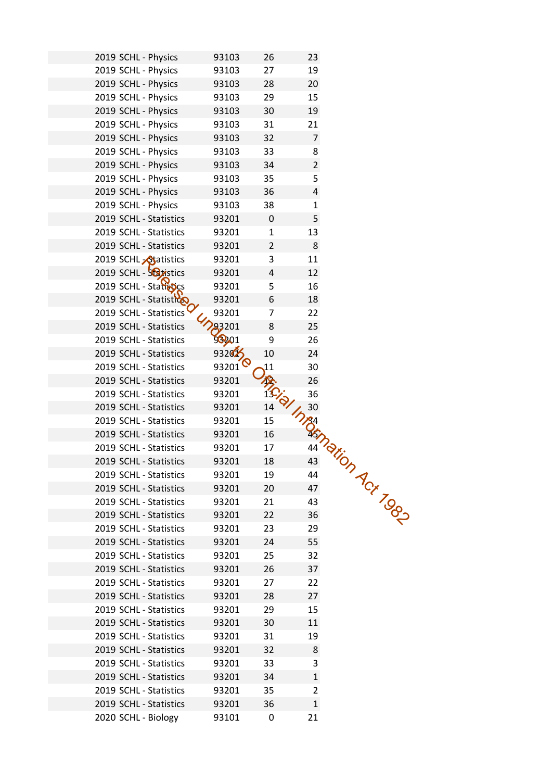| 2019 SCHL - Physics         | 93103              | 26             | 23             |                                               |  |
|-----------------------------|--------------------|----------------|----------------|-----------------------------------------------|--|
| 2019 SCHL - Physics         | 93103              | 27             | 19             |                                               |  |
| 2019 SCHL - Physics         | 93103              | 28             | 20             |                                               |  |
| 2019 SCHL - Physics         | 93103              | 29             | 15             |                                               |  |
| 2019 SCHL - Physics         | 93103              | 30             | 19             |                                               |  |
| 2019 SCHL - Physics         | 93103              | 31             | 21             |                                               |  |
| 2019 SCHL - Physics         | 93103              | 32             | $\overline{7}$ |                                               |  |
| 2019 SCHL - Physics         | 93103              | 33             | 8              |                                               |  |
| 2019 SCHL - Physics         | 93103              | 34             | $\overline{a}$ |                                               |  |
| 2019 SCHL - Physics         | 93103              | 35             | 5              |                                               |  |
| 2019 SCHL - Physics         | 93103              | 36             | 4              |                                               |  |
| 2019 SCHL - Physics         | 93103              | 38             | $\mathbf{1}$   |                                               |  |
| 2019 SCHL - Statistics      | 93201              | 0              | 5              |                                               |  |
| 2019 SCHL - Statistics      | 93201              | $\mathbf{1}$   | 13             |                                               |  |
| 2019 SCHL - Statistics      | 93201              | $\overline{2}$ | 8              |                                               |  |
|                             |                    | 3              | 11             |                                               |  |
| 2019 SCHL <b>Atatistics</b> | 93201              |                | 12             |                                               |  |
| 2019 SCHL - Soltistics      | 93201              | 4              |                |                                               |  |
| 2019 SCHL - Statistics      | 93201              | 5              | 16             |                                               |  |
| 2019 SCHL - Statistico      | 93201              | 6              | 18             |                                               |  |
| 2019 SCHL - Statistics      | 93201              | 7              | 22             |                                               |  |
| 2019 SCHL - Statistics      | 83201              | 8              | 25             |                                               |  |
| 2019 SCHL - Statistics      | 58201              | 9              | 26             |                                               |  |
| 2019 SCHL - Statistics      | 932025             | 10             | 24             |                                               |  |
| 2019 SCHL - Statistics      | 93201 <sup>6</sup> | 11             | 30             |                                               |  |
| 2019 SCHL - Statistics      | 93201              |                | 26             |                                               |  |
| 2019 SCHL - Statistics      | 93201              |                | 36             |                                               |  |
| 2019 SCHL - Statistics      | 93201              | 14             | 30             |                                               |  |
| 2019 SCHL - Statistics      | 93201              | 15             |                | 30 124<br>14 20 10 12 10 12 10 12 10 12 10 12 |  |
| 2019 SCHL - Statistics      | 93201              | 16             |                |                                               |  |
| 2019 SCHL - Statistics      | 93201              | 17             |                |                                               |  |
| 2019 SCHL - Statistics      | 93201              | 18             |                |                                               |  |
| 2019 SCHL - Statistics      | 93201              | 19             |                |                                               |  |
| 2019 SCHL - Statistics      | 93201              | 20             |                |                                               |  |
| 2019 SCHL - Statistics      | 93201              | 21             |                |                                               |  |
| 2019 SCHL - Statistics      | 93201              | 22             |                |                                               |  |
| 2019 SCHL - Statistics      | 93201              | 23             |                |                                               |  |
| 2019 SCHL - Statistics      | 93201              | 24             | 55             |                                               |  |
| 2019 SCHL - Statistics      | 93201              | 25             | 32             |                                               |  |
| 2019 SCHL - Statistics      | 93201              | 26             | 37             |                                               |  |
| 2019 SCHL - Statistics      | 93201              | 27             | 22             |                                               |  |
| 2019 SCHL - Statistics      | 93201              | 28             | 27             |                                               |  |
| 2019 SCHL - Statistics      | 93201              | 29             | 15             |                                               |  |
| 2019 SCHL - Statistics      | 93201              | 30             | 11             |                                               |  |
| 2019 SCHL - Statistics      | 93201              | 31             | 19             |                                               |  |
| 2019 SCHL - Statistics      | 93201              | 32             | 8              |                                               |  |
| 2019 SCHL - Statistics      | 93201              | 33             | 3              |                                               |  |
| 2019 SCHL - Statistics      | 93201              | 34             | $\mathbf{1}$   |                                               |  |
| 2019 SCHL - Statistics      | 93201              | 35             | $\overline{2}$ |                                               |  |
| 2019 SCHL - Statistics      | 93201              | 36             | $\mathbf{1}$   |                                               |  |
| 2020 SCHL - Biology         | 93101              | 0              | 21             |                                               |  |
|                             |                    |                |                |                                               |  |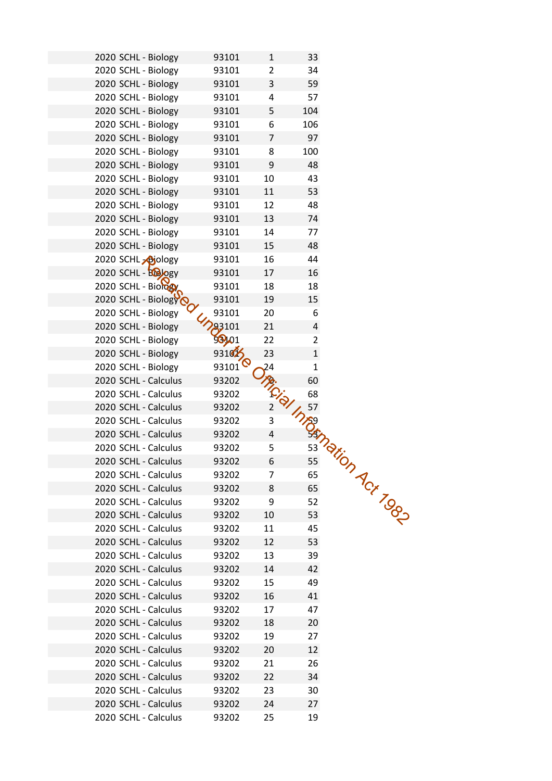| 2020 SCHL - Biology        | 93101              | $\mathbf{1}$                                                 | 33                   |  |
|----------------------------|--------------------|--------------------------------------------------------------|----------------------|--|
| 2020 SCHL - Biology        | 93101              | $\overline{2}$                                               | 34                   |  |
| 2020 SCHL - Biology        | 93101              | 3                                                            | 59                   |  |
| 2020 SCHL - Biology        | 93101              | 4                                                            | 57                   |  |
| 2020 SCHL - Biology        | 93101              | 5                                                            | 104                  |  |
| 2020 SCHL - Biology        | 93101              | 6                                                            | 106                  |  |
| 2020 SCHL - Biology        | 93101              | $\overline{7}$                                               | 97                   |  |
|                            |                    |                                                              |                      |  |
| 2020 SCHL - Biology        | 93101              | 8                                                            | 100                  |  |
| 2020 SCHL - Biology        | 93101              | 9                                                            | 48                   |  |
| 2020 SCHL - Biology        | 93101              | 10                                                           | 43                   |  |
| 2020 SCHL - Biology        | 93101              | 11                                                           | 53                   |  |
| 2020 SCHL - Biology        | 93101              | 12                                                           | 48                   |  |
| 2020 SCHL - Biology        | 93101              | 13                                                           | 74                   |  |
| 2020 SCHL - Biology        | 93101              | 14                                                           | 77                   |  |
| 2020 SCHL - Biology        | 93101              | 15                                                           | 48                   |  |
| 2020 SCHL <b>-</b> bjology | 93101              | 16                                                           | 44                   |  |
| 2020 SCHL - BOOOgy         | 93101              | 17                                                           | 16                   |  |
| 2020 SCHL - Biology        | 93101              | 18                                                           | 18                   |  |
| 2020 SCHL - Biology        | 93101              | 19                                                           | 15                   |  |
| 2020 SCHL - Biology        | 93101              | 20                                                           | 6                    |  |
| 2020 SCHL - Biology        | 93101              | 21                                                           | 4                    |  |
| 2020 SCHL - Biology        | 98901              | 22                                                           | $\overline{2}$       |  |
| 2020 SCHL - Biology        | 931025             | 23                                                           | $\mathbf{1}$         |  |
| 2020 SCHL - Biology        | 93101 <sup>Q</sup> | 24                                                           | $\mathbf{1}$         |  |
| 2020 SCHL - Calculus       | 93202              |                                                              | 60                   |  |
| 2020 SCHL - Calculus       | 93202              | $\overleftarrow{C}_{\overleftarrow{Q}_{\overrightarrow{j}}}$ | 68                   |  |
| 2020 SCHL - Calculus       | 93202              |                                                              | Integration Act Tops |  |
| 2020 SCHL - Calculus       | 93202              | 3                                                            |                      |  |
| 2020 SCHL - Calculus       | 93202              | $\overline{4}$                                               |                      |  |
| 2020 SCHL - Calculus       | 93202              | 5                                                            |                      |  |
| 2020 SCHL - Calculus       | 93202              | 6                                                            |                      |  |
| 2020 SCHL - Calculus       | 93202              | 7                                                            |                      |  |
| 2020 SCHL - Calculus       | 93202              | 8                                                            |                      |  |
| 2020 SCHL - Calculus       | 93202              | 9                                                            |                      |  |
| 2020 SCHL - Calculus       | 93202              | 10                                                           |                      |  |
| 2020 SCHL - Calculus       | 93202              | 11                                                           |                      |  |
| 2020 SCHL - Calculus       | 93202              | 12                                                           | 53                   |  |
| 2020 SCHL - Calculus       | 93202              | 13                                                           | 39                   |  |
| 2020 SCHL - Calculus       | 93202              | 14                                                           | 42                   |  |
| 2020 SCHL - Calculus       | 93202              | 15                                                           | 49                   |  |
| 2020 SCHL - Calculus       | 93202              | 16                                                           | 41                   |  |
| 2020 SCHL - Calculus       | 93202              | 17                                                           | 47                   |  |
| 2020 SCHL - Calculus       | 93202              | 18                                                           | 20                   |  |
| 2020 SCHL - Calculus       | 93202              | 19                                                           | 27                   |  |
| 2020 SCHL - Calculus       | 93202              | 20                                                           | 12                   |  |
| 2020 SCHL - Calculus       | 93202              | 21                                                           | 26                   |  |
| 2020 SCHL - Calculus       |                    |                                                              | 34                   |  |
| 2020 SCHL - Calculus       | 93202              | 22                                                           | 30                   |  |
|                            | 93202              | 23                                                           |                      |  |
| 2020 SCHL - Calculus       | 93202              | 24                                                           | 27                   |  |
| 2020 SCHL - Calculus       | 93202              | 25                                                           | 19                   |  |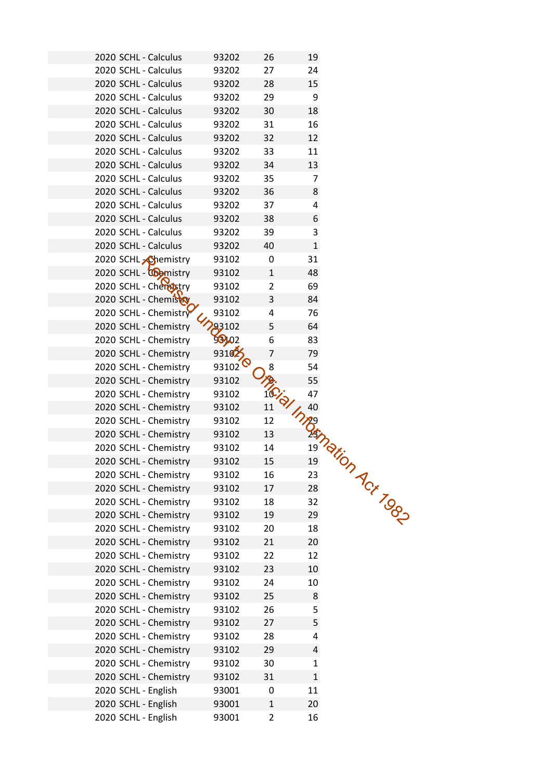| 2020 SCHL - Calculus       | 93202              | 26             | 19                     |  |
|----------------------------|--------------------|----------------|------------------------|--|
| 2020 SCHL - Calculus       | 93202              | 27             | 24                     |  |
| 2020 SCHL - Calculus       | 93202              | 28             | 15                     |  |
| 2020 SCHL - Calculus       | 93202              | 29             | 9                      |  |
| 2020 SCHL - Calculus       | 93202              | 30             | 18                     |  |
| 2020 SCHL - Calculus       | 93202              | 31             | 16                     |  |
| 2020 SCHL - Calculus       | 93202              | 32             | 12                     |  |
| 2020 SCHL - Calculus       | 93202              | 33             | 11                     |  |
| 2020 SCHL - Calculus       | 93202              | 34             | 13                     |  |
|                            |                    |                | 7                      |  |
| 2020 SCHL - Calculus       | 93202              | 35             |                        |  |
| 2020 SCHL - Calculus       | 93202              | 36             | 8                      |  |
| 2020 SCHL - Calculus       | 93202              | 37             | 4                      |  |
| 2020 SCHL - Calculus       | 93202              | 38             | 6                      |  |
| 2020 SCHL - Calculus       | 93202              | 39             | 3                      |  |
| 2020 SCHL - Calculus       | 93202              | 40             | $\mathbf{1}$           |  |
| 2020 SCHL <b>Chemistry</b> | 93102              | 0              | 31                     |  |
| 2020 SCHL - Comistry       | 93102              | $\mathbf{1}$   | 48                     |  |
| 2020 SCHL - Cherristry     | 93102              | $\overline{2}$ | 69                     |  |
| 2020 SCHL - Chemisto       | 93102              | 3              | 84                     |  |
| 2020 SCHL - Chemistry      | 93102              | 4              | 76                     |  |
| 2020 SCHL - Chemistry      | 93102              | 5              | 64                     |  |
| 2020 SCHL - Chemistry      | 98102              | 6              | 83                     |  |
| 2020 SCHL - Chemistry      | 931025             | 7              | 79                     |  |
| 2020 SCHL - Chemistry      | 93102 <sup>6</sup> | 8              | 54                     |  |
| 2020 SCHL - Chemistry      | 93102              |                | 55                     |  |
| 2020 SCHL - Chemistry      | 93102              | iCido          | 47                     |  |
| 2020 SCHL - Chemistry      | 93102              | 11             | Inneg 1972 Figure 1980 |  |
| 2020 SCHL - Chemistry      | 93102              | 12             |                        |  |
| 2020 SCHL - Chemistry      | 93102              | 13             |                        |  |
| 2020 SCHL - Chemistry      | 93102              | 14             |                        |  |
| 2020 SCHL - Chemistry      | 93102              | 15             |                        |  |
| 2020 SCHL - Chemistry      | 93102              | 16             |                        |  |
| 2020 SCHL - Chemistry      | 93102              | 17             |                        |  |
| 2020 SCHL - Chemistry      | 93102              | 18             |                        |  |
| 2020 SCHL - Chemistry      | 93102              | 19             |                        |  |
| 2020 SCHL - Chemistry      | 93102              | 20             |                        |  |
| 2020 SCHL - Chemistry      | 93102              | 21             | 20                     |  |
| 2020 SCHL - Chemistry      | 93102              | 22             | 12                     |  |
| 2020 SCHL - Chemistry      | 93102              | 23             | 10                     |  |
| 2020 SCHL - Chemistry      | 93102              | 24             | 10                     |  |
| 2020 SCHL - Chemistry      | 93102              | 25             | 8                      |  |
| 2020 SCHL - Chemistry      | 93102              | 26             | 5                      |  |
| 2020 SCHL - Chemistry      | 93102              | 27             | 5                      |  |
| 2020 SCHL - Chemistry      | 93102              | 28             | 4                      |  |
|                            |                    |                |                        |  |
| 2020 SCHL - Chemistry      | 93102              | 29             | 4                      |  |
| 2020 SCHL - Chemistry      | 93102              | 30             | $\mathbf{1}$           |  |
| 2020 SCHL - Chemistry      | 93102              | 31             | $\mathbf{1}$           |  |
| 2020 SCHL - English        | 93001              | 0              | 11                     |  |
| 2020 SCHL - English        | 93001              | 1              | 20                     |  |
| 2020 SCHL - English        | 93001              | $\overline{2}$ | 16                     |  |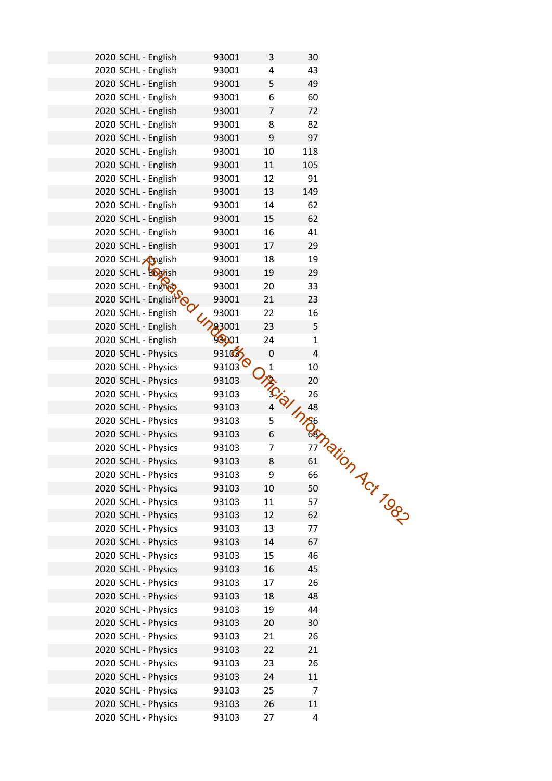| 2020 SCHL - English            | 93001              | 3              | 30                   |  |
|--------------------------------|--------------------|----------------|----------------------|--|
| 2020 SCHL - English            | 93001              | 4              | 43                   |  |
| 2020 SCHL - English            | 93001              | 5              | 49                   |  |
| 2020 SCHL - English            | 93001              | 6              | 60                   |  |
| 2020 SCHL - English            | 93001              | $\overline{7}$ | 72                   |  |
| 2020 SCHL - English            | 93001              | 8              | 82                   |  |
| 2020 SCHL - English            | 93001              | 9              | 97                   |  |
| 2020 SCHL - English            | 93001              | 10             | 118                  |  |
| 2020 SCHL - English            | 93001              | 11             | 105                  |  |
| 2020 SCHL - English            | 93001              | 12             | 91                   |  |
| 2020 SCHL - English            | 93001              | 13             | 149                  |  |
|                                |                    |                | 62                   |  |
| 2020 SCHL - English            | 93001              | 14             |                      |  |
| 2020 SCHL - English            | 93001              | 15             | 62                   |  |
| 2020 SCHL - English            | 93001              | 16             | 41                   |  |
| 2020 SCHL - English            | 93001              | 17             | 29                   |  |
| 2020 SCHL <sub>2</sub> Apglish | 93001              | 18             | 19                   |  |
| 2020 SCHL - English            | 93001              | 19             | 29                   |  |
| 2020 SCHL - English            | 93001              | 20             | 33                   |  |
| 2020 SCHL - Englisho           | 93001              | 21             | 23                   |  |
| 2020 SCHL - English            | 93001              | 22             | 16                   |  |
| 2020 SCHL - English            | 23001              | 23             | 5                    |  |
| 2020 SCHL - English            | 98001              | 24             | 1                    |  |
| 2020 SCHL - Physics            | 931035             | 0              | 4                    |  |
| 2020 SCHL - Physics            | 93103 <sup>6</sup> | $\mathbf{1}$   | 10                   |  |
| 2020 SCHL - Physics            | 93103              | IR.Cial        | 20                   |  |
| 2020 SCHL - Physics            | 93103              |                | 26                   |  |
| 2020 SCHL - Physics            | 93103              |                | Integration Act Togs |  |
| 2020 SCHL - Physics            | 93103              | 5              |                      |  |
| 2020 SCHL - Physics            | 93103              | 6              |                      |  |
| 2020 SCHL - Physics            | 93103              | 7              |                      |  |
| 2020 SCHL - Physics            | 93103              | 8              |                      |  |
| 2020 SCHL - Physics            | 93103              | 9              |                      |  |
| 2020 SCHL - Physics            | 93103              | 10             |                      |  |
| 2020 SCHL - Physics            | 93103              | 11             |                      |  |
| 2020 SCHL - Physics            | 93103              | 12             |                      |  |
| 2020 SCHL - Physics            | 93103              | 13             |                      |  |
| 2020 SCHL - Physics            | 93103              | 14             | 67                   |  |
| 2020 SCHL - Physics            | 93103              | 15             | 46                   |  |
| 2020 SCHL - Physics            | 93103              | 16             | 45                   |  |
| 2020 SCHL - Physics            | 93103              | 17             | 26                   |  |
| 2020 SCHL - Physics            | 93103              | 18             | 48                   |  |
| 2020 SCHL - Physics            | 93103              | 19             | 44                   |  |
| 2020 SCHL - Physics            | 93103              | 20             | 30                   |  |
| 2020 SCHL - Physics            | 93103              | 21             | 26                   |  |
| 2020 SCHL - Physics            | 93103              | 22             | 21                   |  |
| 2020 SCHL - Physics            | 93103              | 23             | 26                   |  |
| 2020 SCHL - Physics            | 93103              | 24             | 11                   |  |
| 2020 SCHL - Physics            | 93103              | 25             | $\overline{7}$       |  |
| 2020 SCHL - Physics            | 93103              | 26             | 11                   |  |
|                                |                    | 27             | 4                    |  |
| 2020 SCHL - Physics            | 93103              |                |                      |  |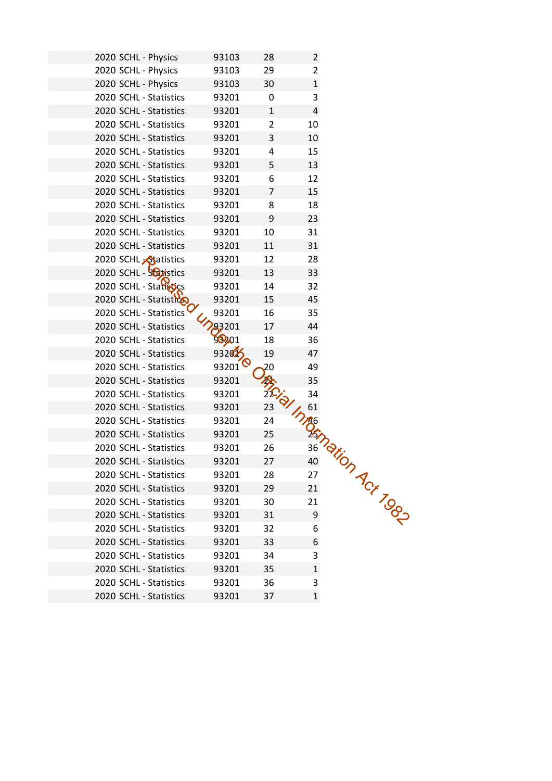| 2020 SCHL - Physics<br>93103<br>28<br>$\overline{2}$              |
|-------------------------------------------------------------------|
|                                                                   |
| 2020 SCHL - Physics<br>29<br>$\overline{2}$<br>93103              |
| 2020 SCHL - Physics<br>$\mathbf{1}$<br>30<br>93103                |
| 3<br>2020 SCHL - Statistics<br>93201<br>0                         |
| $\overline{4}$<br>2020 SCHL - Statistics<br>93201<br>$\mathbf{1}$ |
| 2020 SCHL - Statistics<br>10<br>93201<br>$\overline{2}$           |
| 2020 SCHL - Statistics<br>3<br>10<br>93201                        |
| 2020 SCHL - Statistics<br>93201<br>15<br>4                        |
| 5<br>13<br>2020 SCHL - Statistics<br>93201                        |
| 12<br>2020 SCHL - Statistics<br>6<br>93201                        |
| 2020 SCHL - Statistics<br>15<br>93201<br>$\overline{7}$           |
| 18<br>2020 SCHL - Statistics<br>93201<br>8                        |
| 2020 SCHL - Statistics<br>93201<br>23<br>9                        |
| 31<br>10<br>2020 SCHL - Statistics<br>93201                       |
| 2020 SCHL - Statistics<br>31<br>93201<br>11                       |
| 2020 SCHL <b>Statistics</b><br>12<br>28<br>93201                  |
| 2020 SCHL - Soltistics<br>33<br>13<br>93201                       |
| 2020 SCHL - Statistics<br>93201<br>14<br>32                       |
| 2020 SCHL - Statistico<br>45<br>93201<br>15                       |
| 2020 SCHL - Statistics<br>93201<br>16<br>35                       |
| 93201<br>44<br>17<br>2020 SCHL - Statistics                       |
| 98201<br>2020 SCHL - Statistics<br>18<br>36                       |
| 932025<br>19<br>47<br>2020 SCHL - Statistics                      |
| 93201<br>49<br>2020 SCHL - Statistics<br>20                       |
| 35<br>2020 SCHL - Statistics<br>93201                             |
| 34<br>2020 SCHL - Statistics<br>93201                             |
| 23<br>2020 SCHL - Statistics<br>93201                             |
| 2020 SCHL - Statistics<br>93201<br>24                             |
| 2020 SCHL - Statistics<br>25<br>93201                             |
| 2020 SCHL - Statistics<br>26<br>93201                             |
| 2020 SCHL - Statistics<br>93201<br>27                             |
| 2020 SCHL - Statistics<br>93201<br>28                             |
| In Maginarion Act Top<br>29<br>2020 SCHL - Statistics<br>93201    |
| 2020 SCHL - Statistics<br>93201<br>30                             |
| 2020 SCHL - Statistics<br>93201<br>31                             |
| 2020 SCHL - Statistics<br>32<br>93201                             |
| 2020 SCHL - Statistics<br>93201<br>33<br>6                        |
| 3<br>2020 SCHL - Statistics<br>93201<br>34                        |
| 2020 SCHL - Statistics<br>93201<br>35<br>$\mathbf{1}$             |
| 2020 SCHL - Statistics<br>93201<br>36<br>3                        |
| 2020 SCHL - Statistics<br>$\mathbf{1}$<br>93201<br>37             |